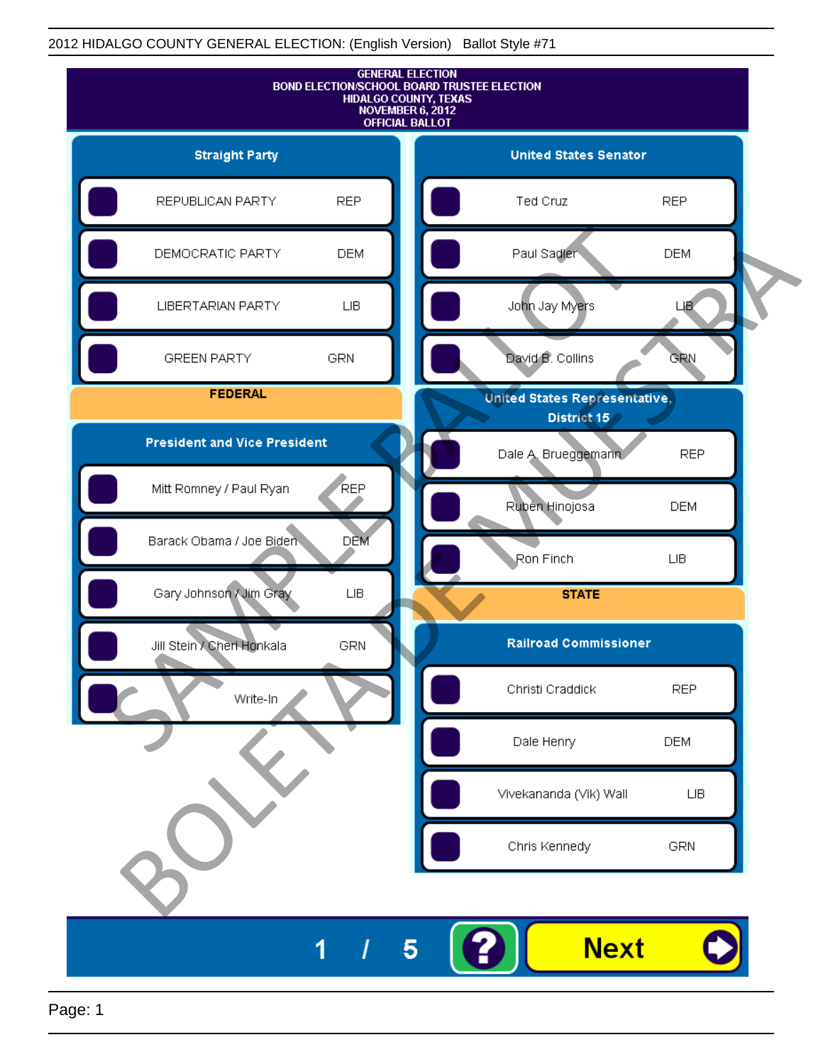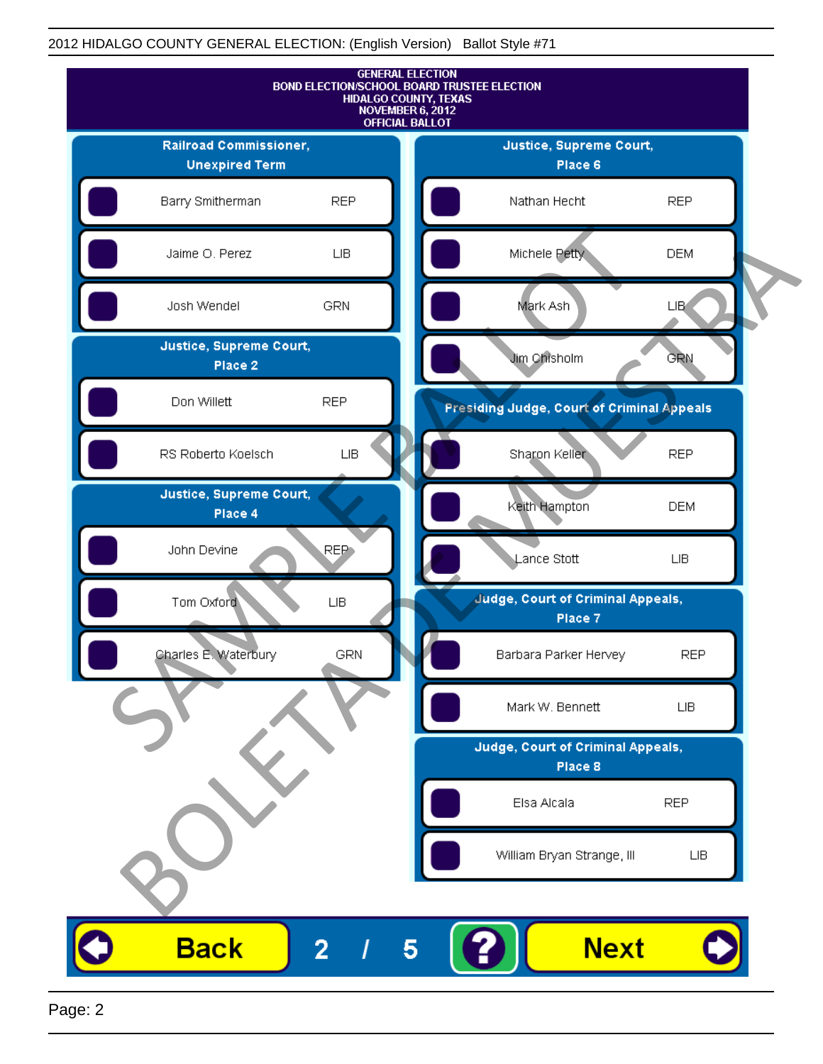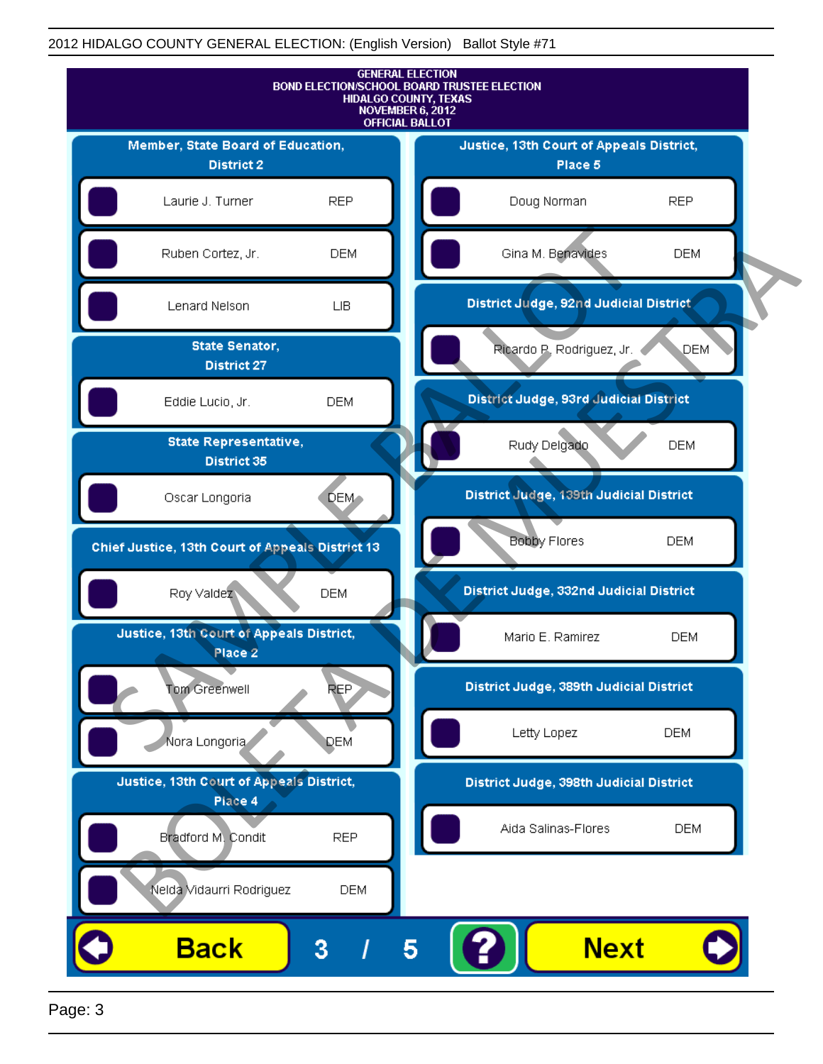

Page: 3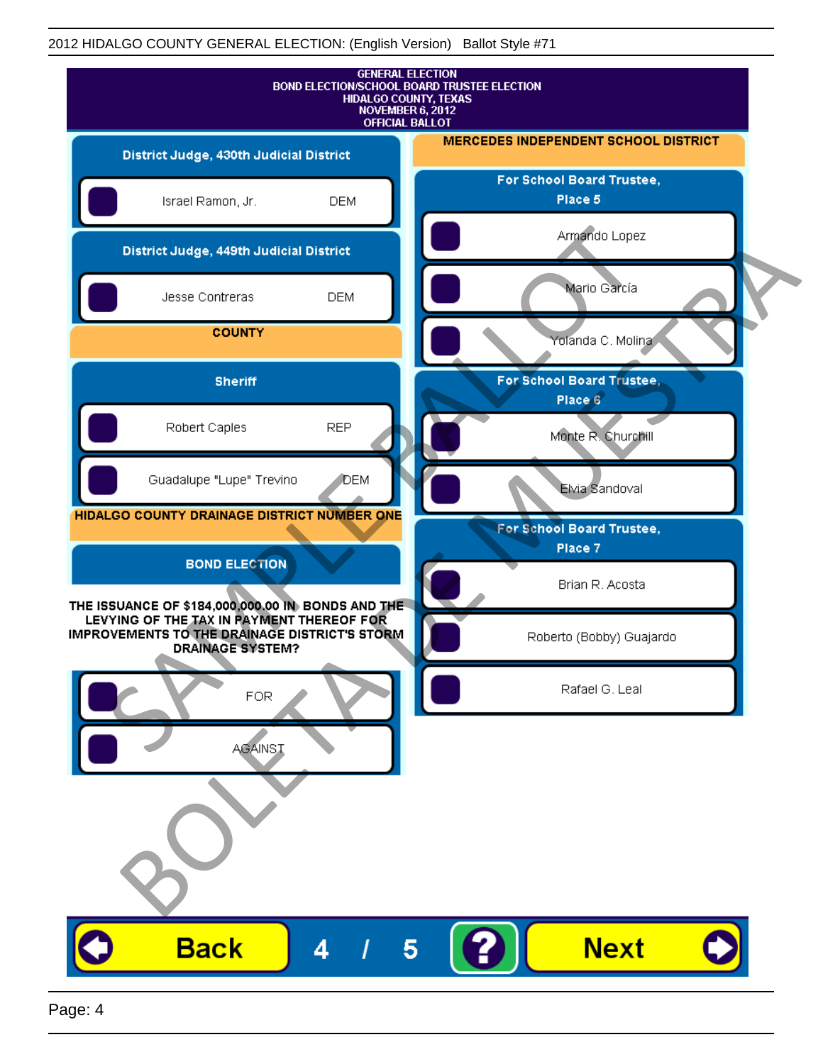| <b>GENERAL ELECTION</b><br>BOND ELECTION/SCHOOL BOARD TRUSTEE ELECTION<br><b>HIDALGO COUNTY, TEXAS</b><br>NOVEMBER 6, 2012<br><b>OFFICIAL BALLOT</b>                       |            |                                             |
|----------------------------------------------------------------------------------------------------------------------------------------------------------------------------|------------|---------------------------------------------|
| District Judge, 430th Judicial District                                                                                                                                    |            | <b>MERCEDES INDEPENDENT SCHOOL DISTRICT</b> |
| Israel Ramon, Jr.                                                                                                                                                          | <b>DEM</b> | For School Board Trustee,<br>Place 5        |
| District Judge, 449th Judicial District                                                                                                                                    |            | Armando Lopez                               |
| Jesse Contreras                                                                                                                                                            | <b>DEM</b> | Mario García                                |
| <b>COUNTY</b>                                                                                                                                                              |            | Yolanda C. Molina                           |
| <b>Sheriff</b>                                                                                                                                                             |            | For School Board Trustee,<br>Place 6        |
| Robert Caples                                                                                                                                                              | <b>REP</b> | Monte R. Churchill                          |
| Guadalupe "Lupe" Trevino                                                                                                                                                   | DEM        | Elvia Sandoval                              |
| HIDALGO COUNTY DRAINAGE DISTRICT NUMBER ONE                                                                                                                                |            | For School Board Trustee,<br>Place 7        |
| <b>BOND ELECTION</b>                                                                                                                                                       |            | Brian R. Acosta                             |
| THE ISSUANCE OF \$184,000,000.00 IN BONDS AND THE<br>LEVYING OF THE TAX IN PAYMENT THEREOF FOR<br>IMPROVEMENTS TO THE DRAINAGE DISTRICT'S STORM<br><b>DRAINAGE SYSTEM?</b> |            | Roberto (Bobby) Guajardo                    |
| <b>FOR</b>                                                                                                                                                                 |            | Rafael G. Leal                              |
| <b>AGAINST</b>                                                                                                                                                             |            |                                             |
|                                                                                                                                                                            |            |                                             |
| <b>Back</b>                                                                                                                                                                | 4          | <b>Next</b><br>5                            |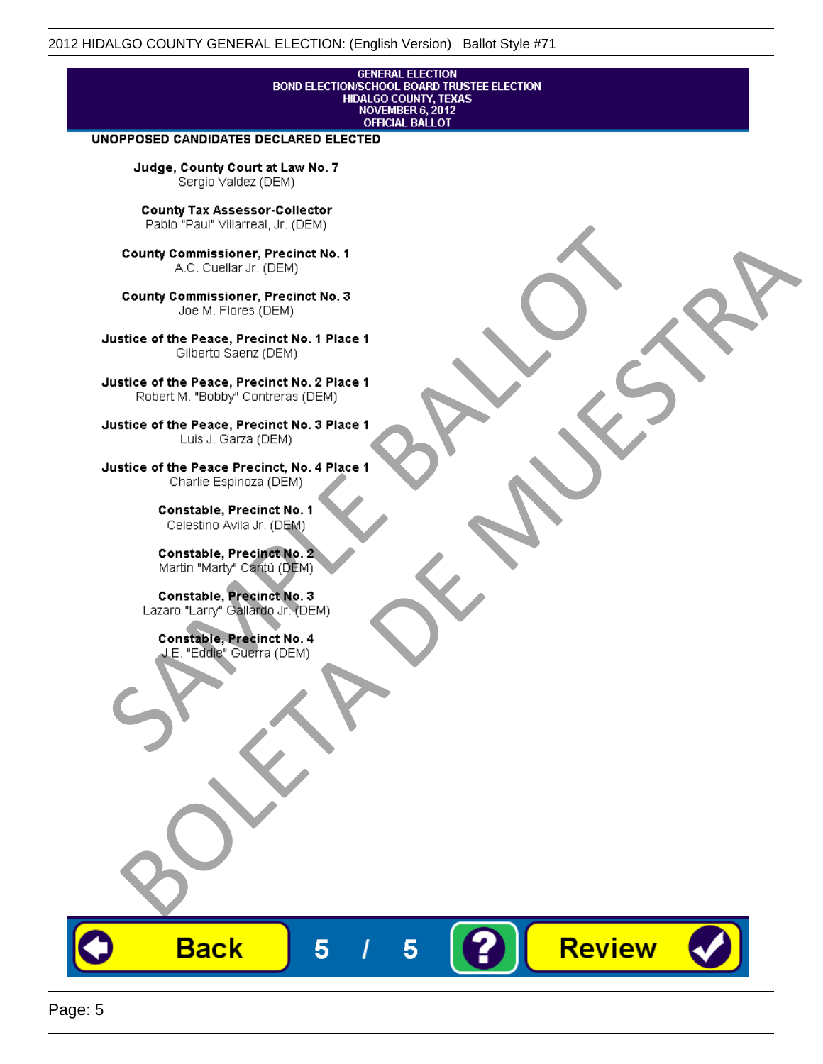## **GENERAL ELECTION** BOND ELECTION/SCHOOL BOARD TRUSTEE ELECTION<br>HIDALGO COUNTY, TEXAS<br>NOVEMBER 6, 2012 **OFFICIAL BALLOT**

Review

#### UNOPPOSED CANDIDATES DECLARED ELECTED

Judge, County Court at Law No. 7 Sergio Valdez (DEM)

County Tax Assessor-Collector

Frame The Passe, Precinct No. 1<br>
County Commissioner, Precinct No. 1<br>
SC. Cutellar Jr. (DEM)<br>
County Commissioner, Precinct No. 2<br>
Ulastice of the Peace, Precinct No. 2<br>
Ulastice of the Peace, Precinct No. 2<br>
Robert M. "Bl County Commissioner, Precinat No. 1<br>
A County Commissioner, Precinat No. 3<br>
Use of the Peace, Precinat No. 3<br>
Use of the Peace, Precinat No. 1<br>
There is a precinc No. 2<br>
There is a precinc No. 2<br>
There is a precinc No. 2<br>

**Back** 

5

5



Page: 5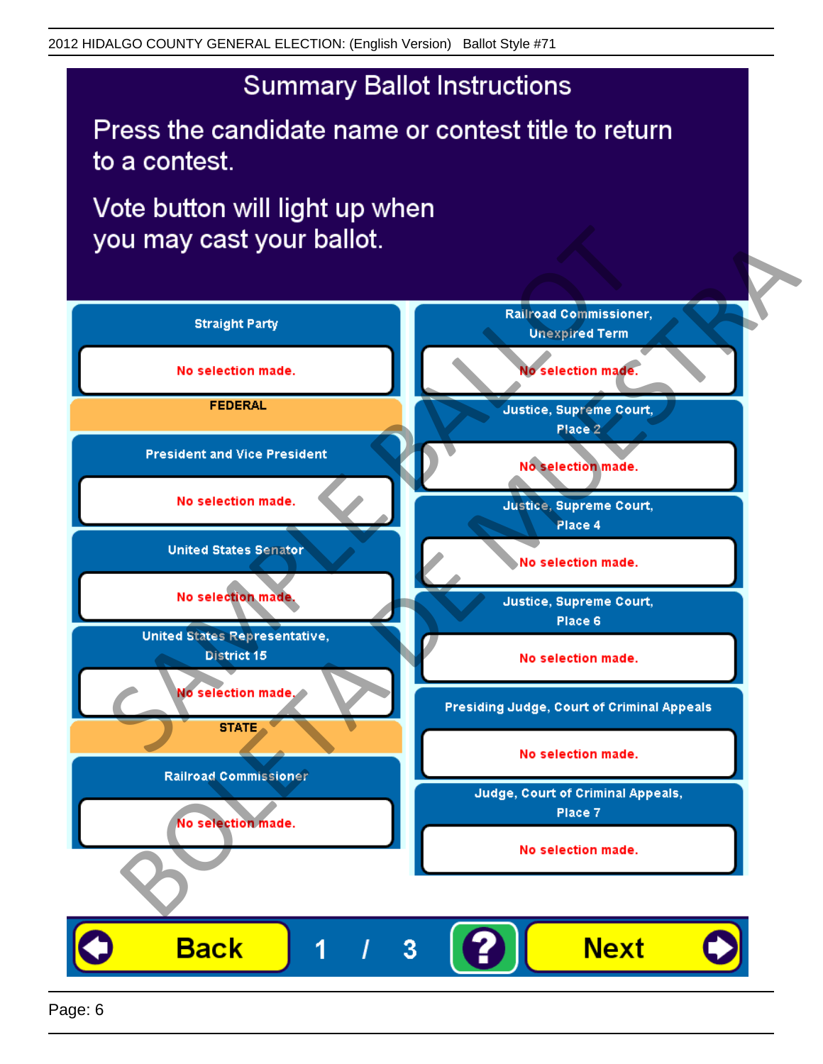# **Summary Ballot Instructions**

Press the candidate name or contest title to return to a contest.

Vote button will light up when

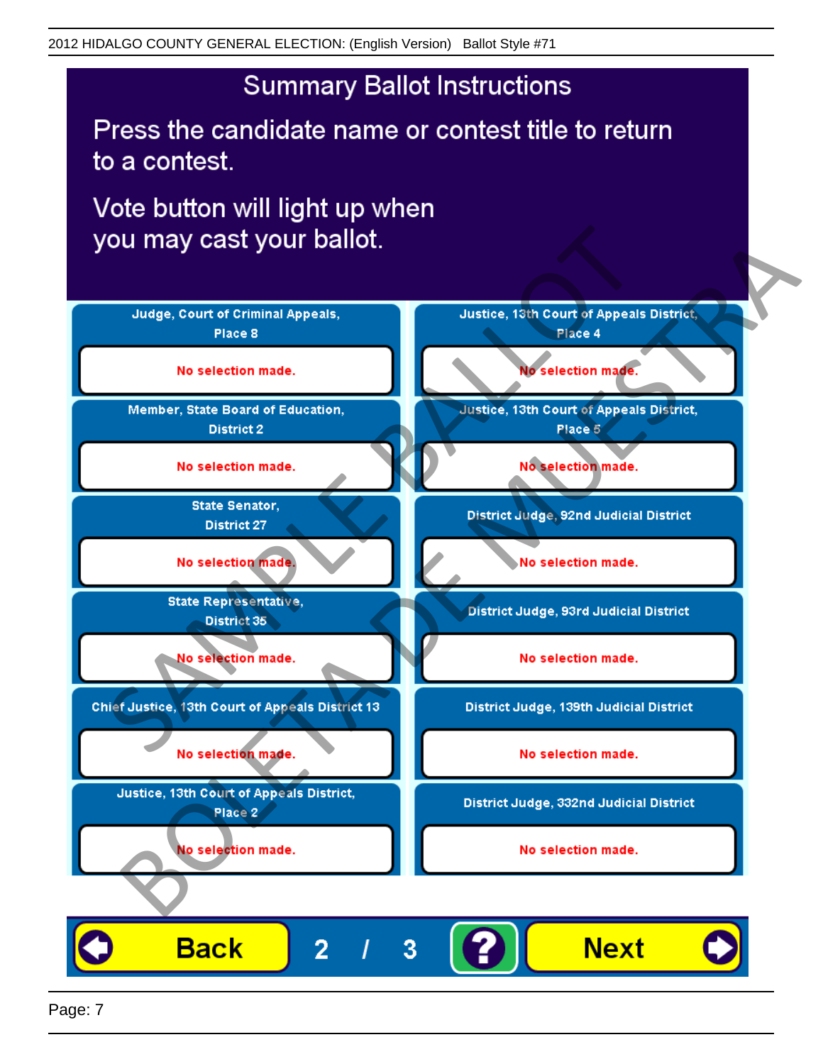# **Summary Ballot Instructions**

Press the candidate name or contest title to return to a contest.

Vote button will light up when



Page: 7